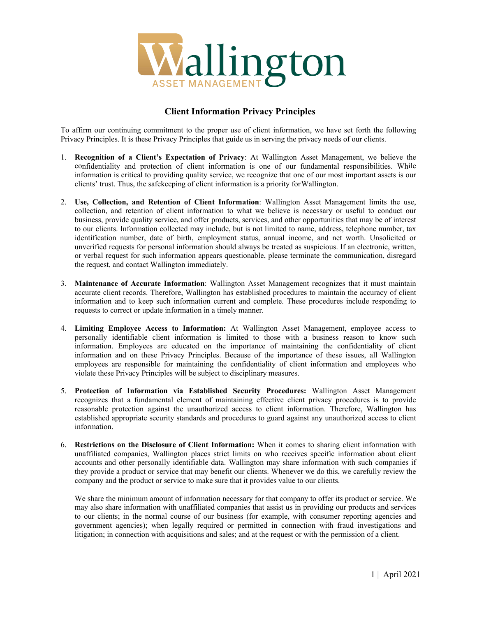

## **Client Information Privacy Principles**

To affirm our continuing commitment to the proper use of client information, we have set forth the following Privacy Principles. It is these Privacy Principles that guide us in serving the privacy needs of our clients.

- 1. **Recognition of a Client's Expectation of Privacy**: At Wallington Asset Management, we believe the confidentiality and protection of client information is one of our fundamental responsibilities. While information is critical to providing quality service, we recognize that one of our most important assets is our clients' trust. Thus, the safekeeping of client information is a priority for Wallington.
- 2. **Use, Collection, and Retention of Client Information**: Wallington Asset Management limits the use, collection, and retention of client information to what we believe is necessary or useful to conduct our business, provide quality service, and offer products, services, and other opportunities that may be of interest to our clients. Information collected may include, but is not limited to name, address, telephone number, tax identification number, date of birth, employment status, annual income, and net worth. Unsolicited or unverified requests for personal information should always be treated as suspicious. If an electronic, written, or verbal request for such information appears questionable, please terminate the communication, disregard the request, and contact Wallington immediately.
- 3. **Maintenance of Accurate Information**: Wallington Asset Management recognizes that it must maintain accurate client records. Therefore, Wallington has established procedures to maintain the accuracy of client information and to keep such information current and complete. These procedures include responding to requests to correct or update information in a timely manner.
- 4. **Limiting Employee Access to Information:** At Wallington Asset Management, employee access to personally identifiable client information is limited to those with a business reason to know such information. Employees are educated on the importance of maintaining the confidentiality of client information and on these Privacy Principles. Because of the importance of these issues, all Wallington employees are responsible for maintaining the confidentiality of client information and employees who violate these Privacy Principles will be subject to disciplinary measures.
- 5. **Protection of Information via Established Security Procedures:** Wallington Asset Management recognizes that a fundamental element of maintaining effective client privacy procedures is to provide reasonable protection against the unauthorized access to client information. Therefore, Wallington has established appropriate security standards and procedures to guard against any unauthorized access to client information.
- 6. **Restrictions on the Disclosure of Client Information:** When it comes to sharing client information with unaffiliated companies, Wallington places strict limits on who receives specific information about client accounts and other personally identifiable data. Wallington may share information with such companies if they provide a product or service that may benefit our clients. Whenever we do this, we carefully review the company and the product or service to make sure that it provides value to our clients.

We share the minimum amount of information necessary for that company to offer its product or service. We may also share information with unaffiliated companies that assist us in providing our products and services to our clients; in the normal course of our business (for example, with consumer reporting agencies and government agencies); when legally required or permitted in connection with fraud investigations and litigation; in connection with acquisitions and sales; and at the request or with the permission of a client.